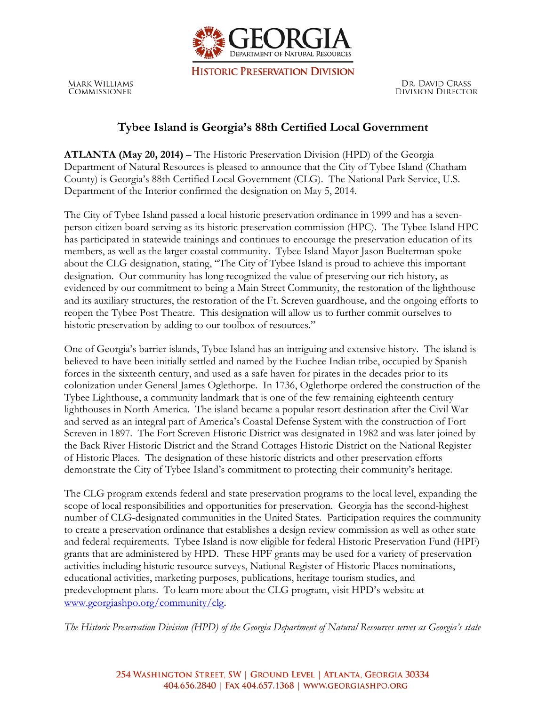

**HISTORIC PRESERVATION DIVISION** 

**MARK WILLIAMS** COMMISSIONER

DR. DAVID CRASS **DIVISION DIRECTOR** 

## **Tybee Island is Georgia's 88th Certified Local Government**

**ATLANTA (May 20, 2014)** – The Historic Preservation Division (HPD) of the Georgia Department of Natural Resources is pleased to announce that the City of Tybee Island (Chatham County) is Georgia's 88th Certified Local Government (CLG). The National Park Service, U.S. Department of the Interior confirmed the designation on May 5, 2014.

The City of Tybee Island passed a local historic preservation ordinance in 1999 and has a sevenperson citizen board serving as its historic preservation commission (HPC). The Tybee Island HPC has participated in statewide trainings and continues to encourage the preservation education of its members, as well as the larger coastal community. Tybee Island Mayor Jason Buelterman spoke about the CLG designation, stating, "The City of Tybee Island is proud to achieve this important designation. Our community has long recognized the value of preserving our rich history, as evidenced by our commitment to being a Main Street Community, the restoration of the lighthouse and its auxiliary structures, the restoration of the Ft. Screven guardhouse, and the ongoing efforts to reopen the Tybee Post Theatre. This designation will allow us to further commit ourselves to historic preservation by adding to our toolbox of resources."

One of Georgia's barrier islands, Tybee Island has an intriguing and extensive history. The island is believed to have been initially settled and named by the Euchee Indian tribe, occupied by Spanish forces in the sixteenth century, and used as a safe haven for pirates in the decades prior to its colonization under General James Oglethorpe. In 1736, Oglethorpe ordered the construction of the Tybee Lighthouse, a community landmark that is one of the few remaining eighteenth century lighthouses in North America. The island became a popular resort destination after the Civil War and served as an integral part of America's Coastal Defense System with the construction of Fort Screven in 1897. The Fort Screven Historic District was designated in 1982 and was later joined by the Back River Historic District and the Strand Cottages Historic District on the National Register of Historic Places. The designation of these historic districts and other preservation efforts demonstrate the City of Tybee Island's commitment to protecting their community's heritage.

The CLG program extends federal and state preservation programs to the local level, expanding the scope of local responsibilities and opportunities for preservation. Georgia has the second-highest number of CLG-designated communities in the United States. Participation requires the community to create a preservation ordinance that establishes a design review commission as well as other state and federal requirements. Tybee Island is now eligible for federal Historic Preservation Fund (HPF) grants that are administered by HPD. These HPF grants may be used for a variety of preservation activities including historic resource surveys, National Register of Historic Places nominations, educational activities, marketing purposes, publications, heritage tourism studies, and predevelopment plans. To learn more about the CLG program, visit HPD's website at www.georgiashpo.org/community/clg.

*The Historic Preservation Division (HPD) of the Georgia Department of Natural Resources serves as Georgia's state*